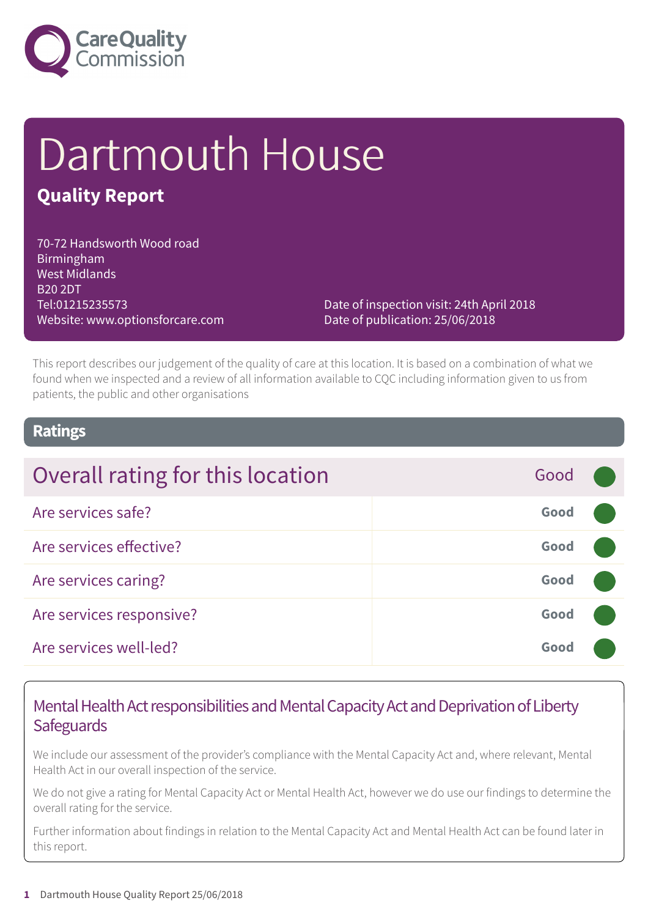

# Dartmouth House

# **Quality Report**

70-72 Handsworth Wood road Birmingham West Midlands B20 2DT Tel:01215235573 Website: www.optionsforcare.com

Date of inspection visit: 24th April 2018 Date of publication: 25/06/2018

This report describes our judgement of the quality of care at this location. It is based on a combination of what we found when we inspected and a review of all information available to CQC including information given to us from patients, the public and other organisations

### **Ratings**

| Overall rating for this location | Good |  |
|----------------------------------|------|--|
| Are services safe?               | Good |  |
| Are services effective?          | Good |  |
| Are services caring?             | Good |  |
| Are services responsive?         | Good |  |
| Are services well-led?           | Good |  |

# Mental Health Act responsibilities and Mental Capacity Act and Deprivation of Liberty **Safeguards**

We include our assessment of the provider's compliance with the Mental Capacity Act and, where relevant, Mental Health Act in our overall inspection of the service.

We do not give a rating for Mental Capacity Act or Mental Health Act, however we do use our findings to determine the overall rating for the service.

Further information about findings in relation to the Mental Capacity Act and Mental Health Act can be found later in this report.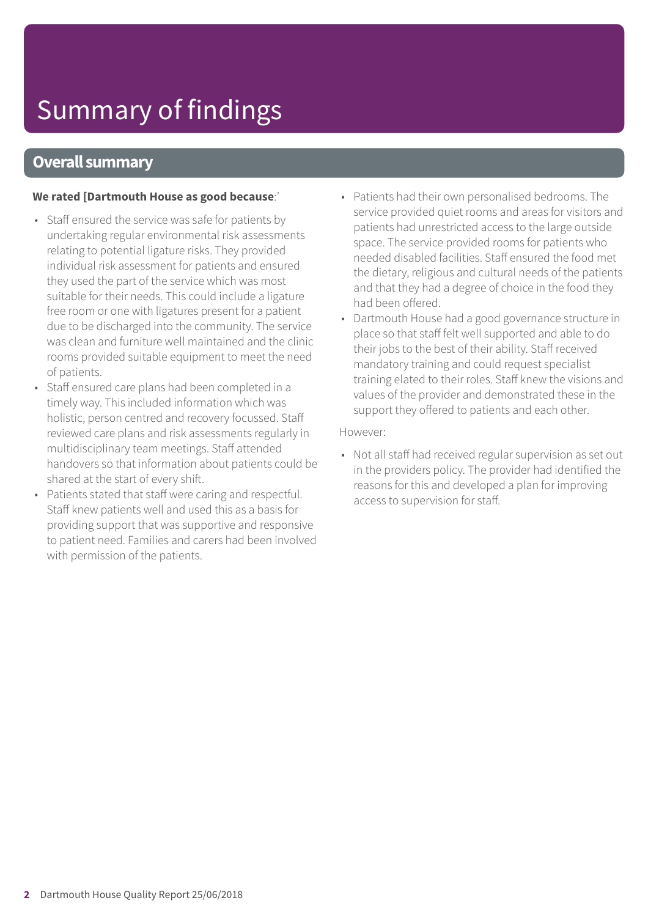# Summary of findings

### **Overall summary**

#### **We rated [Dartmouth House as good because**:'

- Staff ensured the service was safe for patients by undertaking regular environmental risk assessments relating to potential ligature risks. They provided individual risk assessment for patients and ensured they used the part of the service which was most suitable for their needs. This could include a ligature free room or one with ligatures present for a patient due to be discharged into the community. The service was clean and furniture well maintained and the clinic rooms provided suitable equipment to meet the need of patients.
- Staff ensured care plans had been completed in a timely way. This included information which was holistic, person centred and recovery focussed. Staff reviewed care plans and risk assessments regularly in multidisciplinary team meetings. Staff attended handovers so that information about patients could be shared at the start of every shift.
- Patients stated that staff were caring and respectful. Staff knew patients well and used this as a basis for providing support that was supportive and responsive to patient need. Families and carers had been involved with permission of the patients.
- Patients had their own personalised bedrooms. The service provided quiet rooms and areas for visitors and patients had unrestricted access to the large outside space. The service provided rooms for patients who needed disabled facilities. Staff ensured the food met the dietary, religious and cultural needs of the patients and that they had a degree of choice in the food they had been offered.
- Dartmouth House had a good governance structure in place so that staff felt well supported and able to do their jobs to the best of their ability. Staff received mandatory training and could request specialist training elated to their roles. Staff knew the visions and values of the provider and demonstrated these in the support they offered to patients and each other.

#### However:

• Not all staff had received regular supervision as set out in the providers policy. The provider had identified the reasons for this and developed a plan for improving access to supervision for staff.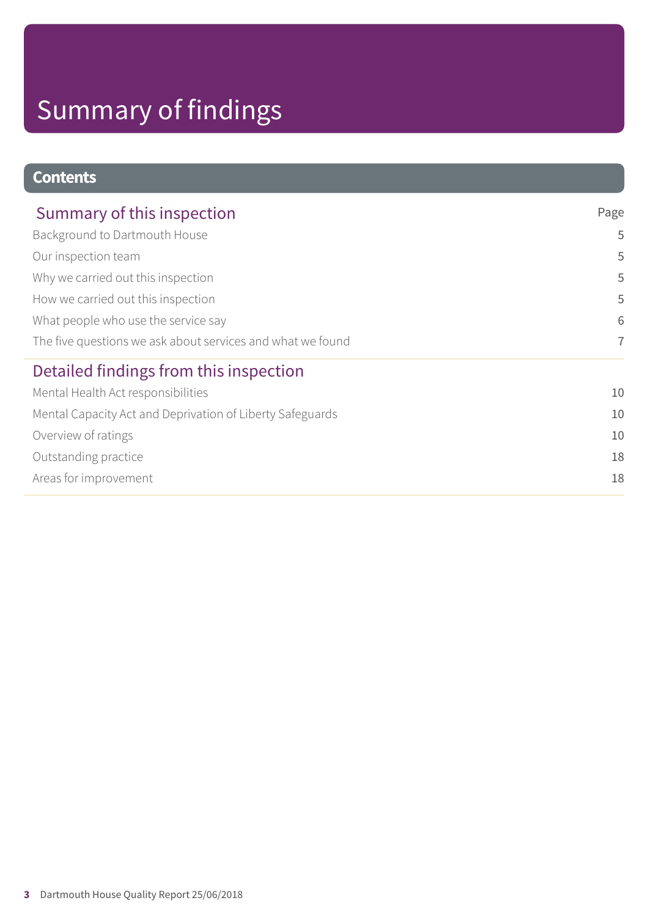# Summary of findings

# **Contents**

| Summary of this inspection                                 | Page           |
|------------------------------------------------------------|----------------|
| Background to Dartmouth House                              | 5              |
| Our inspection team                                        | 5              |
| Why we carried out this inspection                         | 5              |
| How we carried out this inspection                         | 5              |
| What people who use the service say                        | 6              |
| The five questions we ask about services and what we found | $\overline{7}$ |
| Detailed findings from this inspection                     |                |
| Mental Health Act responsibilities                         | 10             |
| Mental Capacity Act and Deprivation of Liberty Safeguards  | 10             |
| Overview of ratings                                        | 10             |
| Outstanding practice                                       | 18             |
| Areas for improvement                                      | 18             |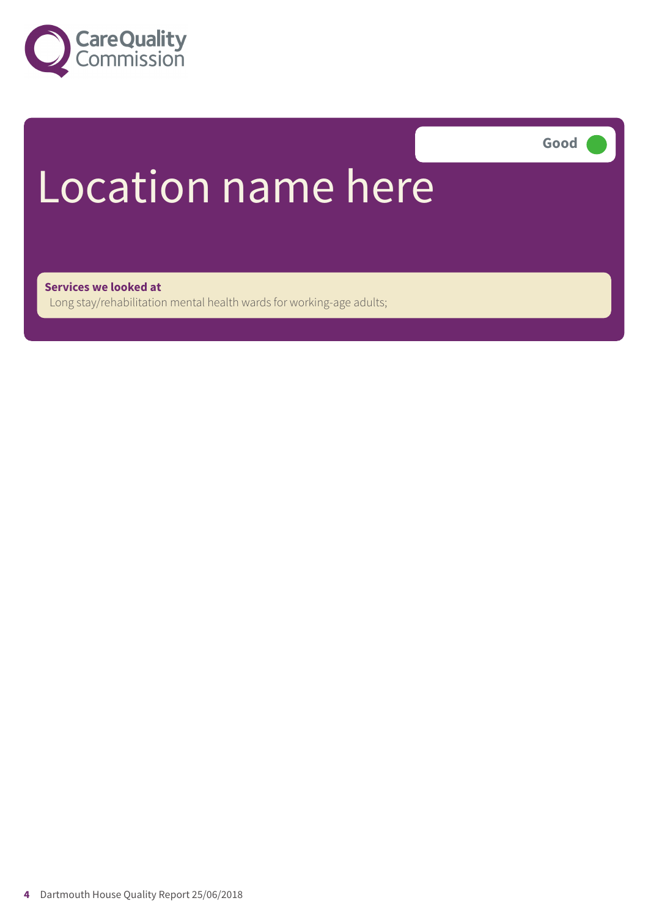

**Good –––**

# Location name here

**Services we looked at**

Long stay/rehabilitation mental health wards for working-age adults;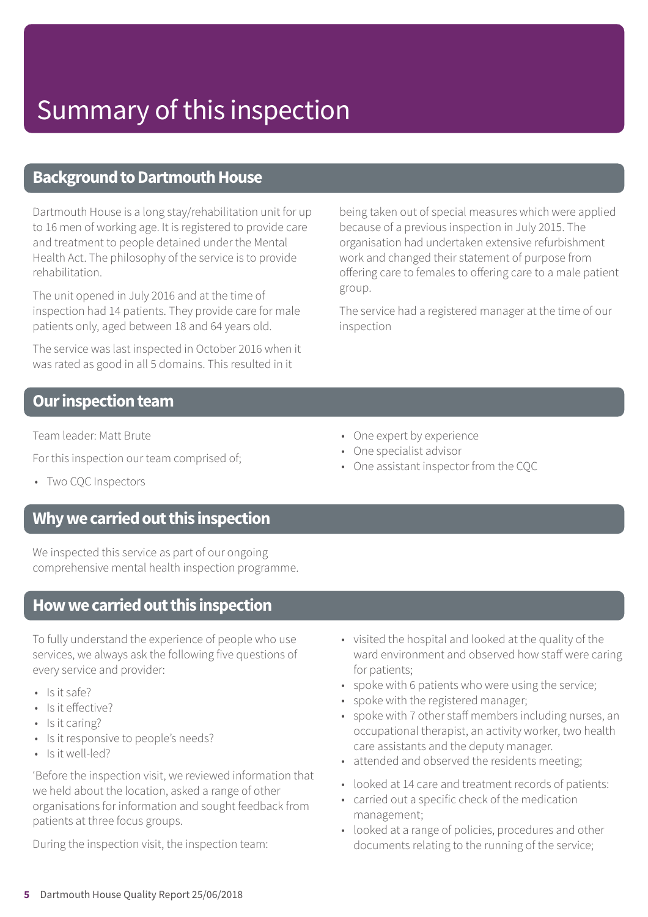### **Background to Dartmouth House**

Dartmouth House is a long stay/rehabilitation unit for up to 16 men of working age. It is registered to provide care and treatment to people detained under the Mental Health Act. The philosophy of the service is to provide rehabilitation.

The unit opened in July 2016 and at the time of inspection had 14 patients. They provide care for male patients only, aged between 18 and 64 years old.

The service was last inspected in October 2016 when it was rated as good in all 5 domains. This resulted in it

being taken out of special measures which were applied because of a previous inspection in July 2015. The organisation had undertaken extensive refurbishment work and changed their statement of purpose from offering care to females to offering care to a male patient group.

The service had a registered manager at the time of our inspection

### **Our inspection team**

Team leader: Matt Brute

For this inspection our team comprised of;

- 
- 

• Two CQC Inspectors

### **Whywecarriedoutthis inspection**

We inspected this service as part of our ongoing comprehensive mental health inspection programme.

# **Howwecarriedoutthis inspection**

To fully understand the experience of people who use services, we always ask the following five questions of every service and provider:

- $\cdot$  Is it safe?
- Is it effective?
- Is it caring?
- Is it responsive to people's needs?
- Is it well-led?

'Before the inspection visit, we reviewed information that we held about the location, asked a range of other organisations for information and sought feedback from patients at three focus groups.

During the inspection visit, the inspection team:

- One expert by experience
- One specialist advisor
- One assistant inspector from the CQC

- visited the hospital and looked at the quality of the ward environment and observed how staff were caring for patients;
- spoke with 6 patients who were using the service;
- spoke with the registered manager;
- spoke with 7 other staff members including nurses, an occupational therapist, an activity worker, two health care assistants and the deputy manager.
- attended and observed the residents meeting;
- looked at 14 care and treatment records of patients:
- carried out a specific check of the medication management;
- looked at a range of policies, procedures and other documents relating to the running of the service;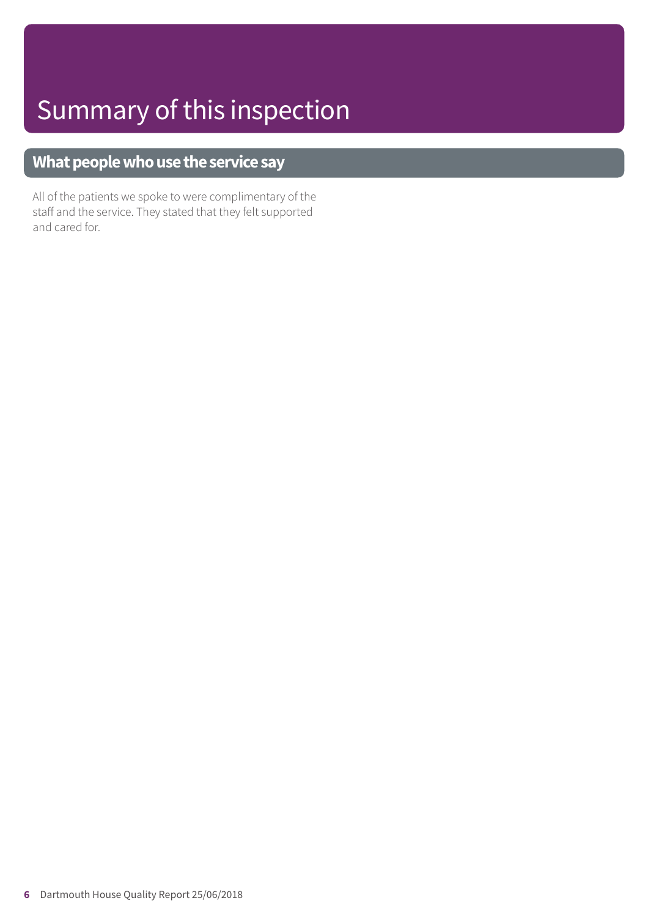# **What people who use the service say**

All of the patients we spoke to were complimentary of the staff and the service. They stated that they felt supported and cared for.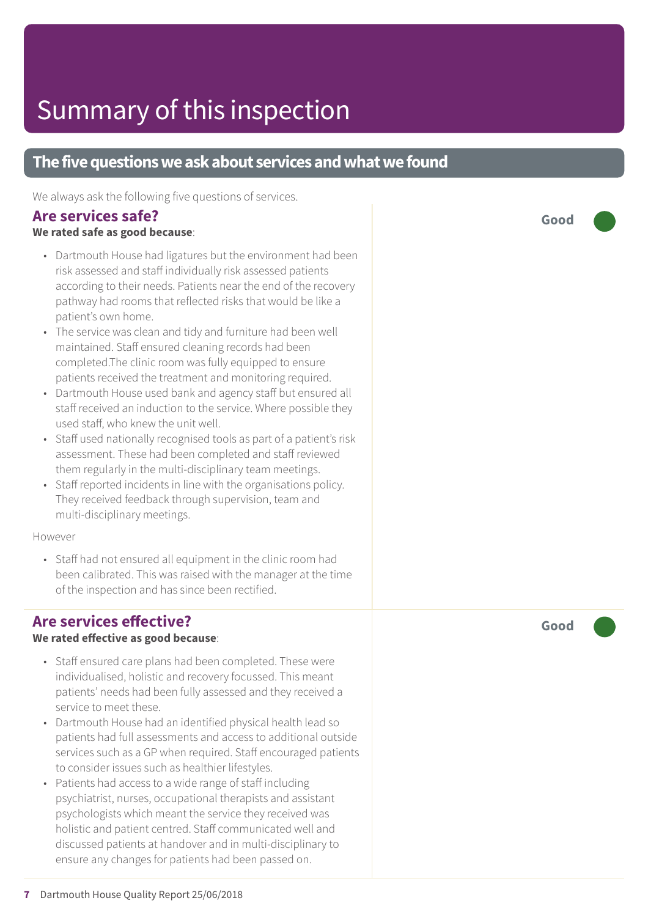## **The five questions we ask about services and what we found**

We always ask the following five questions of services.

### **Are services safe?**

### **We rated safe as good because**:

- Dartmouth House had ligatures but the environment had been risk assessed and staff individually risk assessed patients according to their needs. Patients near the end of the recovery pathway had rooms that reflected risks that would be like a patient's own home.
- The service was clean and tidy and furniture had been well maintained. Staff ensured cleaning records had been completed.The clinic room was fully equipped to ensure patients received the treatment and monitoring required.
- Dartmouth House used bank and agency staff but ensured all staff received an induction to the service. Where possible they used staff, who knew the unit well.
- Staff used nationally recognised tools as part of a patient's risk assessment. These had been completed and staff reviewed them regularly in the multi-disciplinary team meetings.
- Staff reported incidents in line with the organisations policy. They received feedback through supervision, team and multi-disciplinary meetings.

#### However

• Staff had not ensured all equipment in the clinic room had been calibrated. This was raised with the manager at the time of the inspection and has since been rectified.

### **Are services effective?**

### **We rated effective as good because**:

- Staff ensured care plans had been completed. These were individualised, holistic and recovery focussed. This meant patients' needs had been fully assessed and they received a service to meet these.
- Dartmouth House had an identified physical health lead so patients had full assessments and access to additional outside services such as a GP when required. Staff encouraged patients to consider issues such as healthier lifestyles.
- Patients had access to a wide range of staff including psychiatrist, nurses, occupational therapists and assistant psychologists which meant the service they received was holistic and patient centred. Staff communicated well and discussed patients at handover and in multi-disciplinary to ensure any changes for patients had been passed on.

**Good –––**

**Good –––**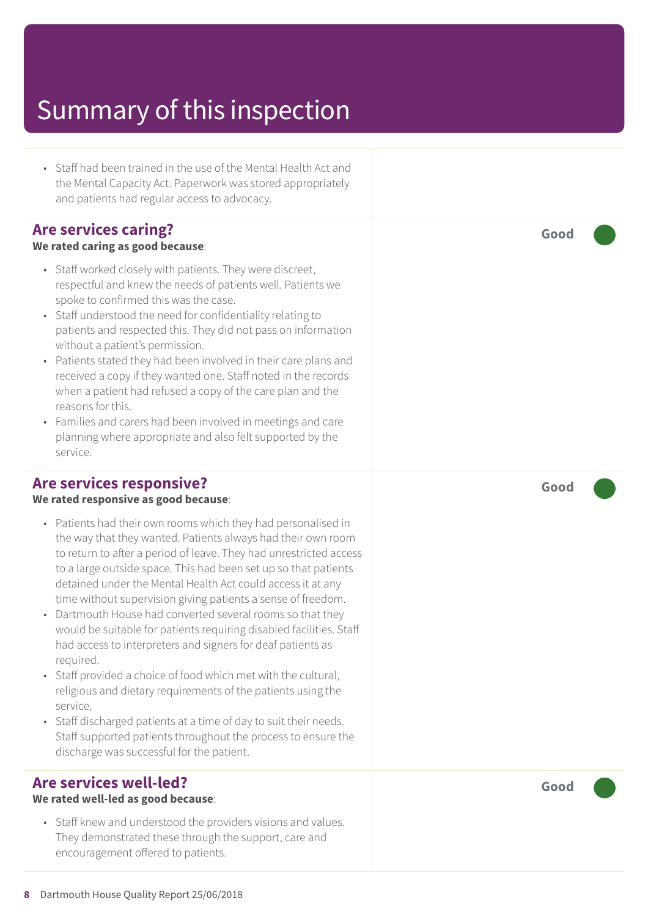• Staff had been trained in the use of the Mental Health Act and the Mental Capacity Act. Paperwork was stored appropriately and patients had regular access to advocacy.

### **Are services caring?**

#### **We rated caring as good because**:

- Staff worked closely with patients. They were discreet, respectful and knew the needs of patients well. Patients we spoke to confirmed this was the case.
- Staff understood the need for confidentiality relating to patients and respected this. They did not pass on information without a patient's permission.
- Patients stated they had been involved in their care plans and received a copy if they wanted one. Staff noted in the records when a patient had refused a copy of the care plan and the reasons for this.
- Families and carers had been involved in meetings and care planning where appropriate and also felt supported by the service.

### **Are services responsive?**

#### **We rated responsive as good because**:

- Patients had their own rooms which they had personalised in the way that they wanted. Patients always had their own room to return to after a period of leave. They had unrestricted access to a large outside space. This had been set up so that patients detained under the Mental Health Act could access it at any time without supervision giving patients a sense of freedom.
- Dartmouth House had converted several rooms so that they would be suitable for patients requiring disabled facilities. Staff had access to interpreters and signers for deaf patients as required.
- Staff provided a choice of food which met with the cultural, religious and dietary requirements of the patients using the service.
- Staff discharged patients at a time of day to suit their needs. Staff supported patients throughout the process to ensure the discharge was successful for the patient.

### **Are services well-led?**

#### **We rated well-led as good because**:

• Staff knew and understood the providers visions and values. They demonstrated these through the support, care and encouragement offered to patients.

**Good –––**

**Good –––**

**Good –––**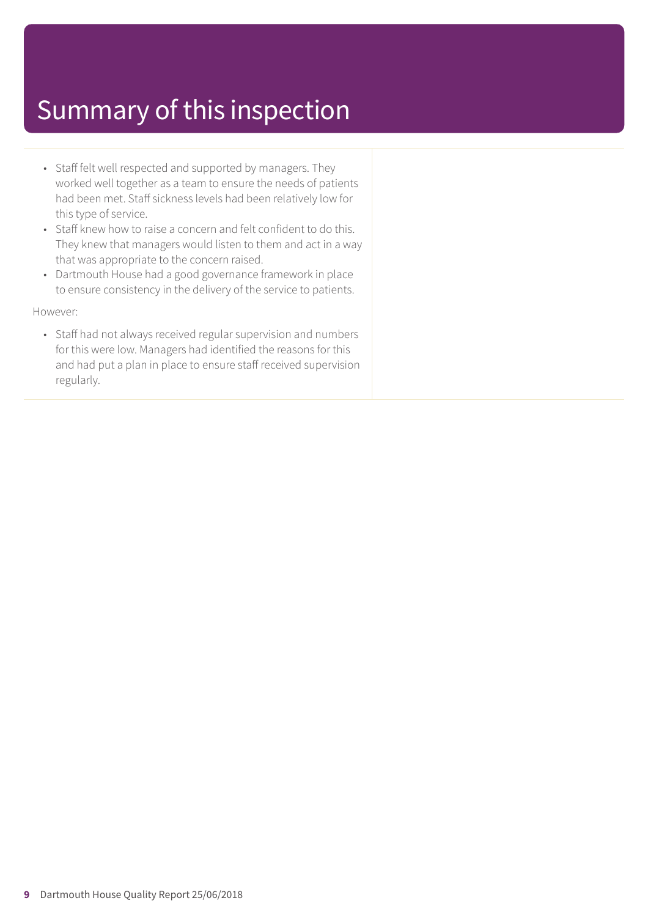- Staff felt well respected and supported by managers. They worked well together as a team to ensure the needs of patients had been met. Staff sickness levels had been relatively low for this type of service.
- Staff knew how to raise a concern and felt confident to do this. They knew that managers would listen to them and act in a way that was appropriate to the concern raised.
- Dartmouth House had a good governance framework in place to ensure consistency in the delivery of the service to patients.

However:

• Staff had not always received regular supervision and numbers for this were low. Managers had identified the reasons for this and had put a plan in place to ensure staff received supervision regularly.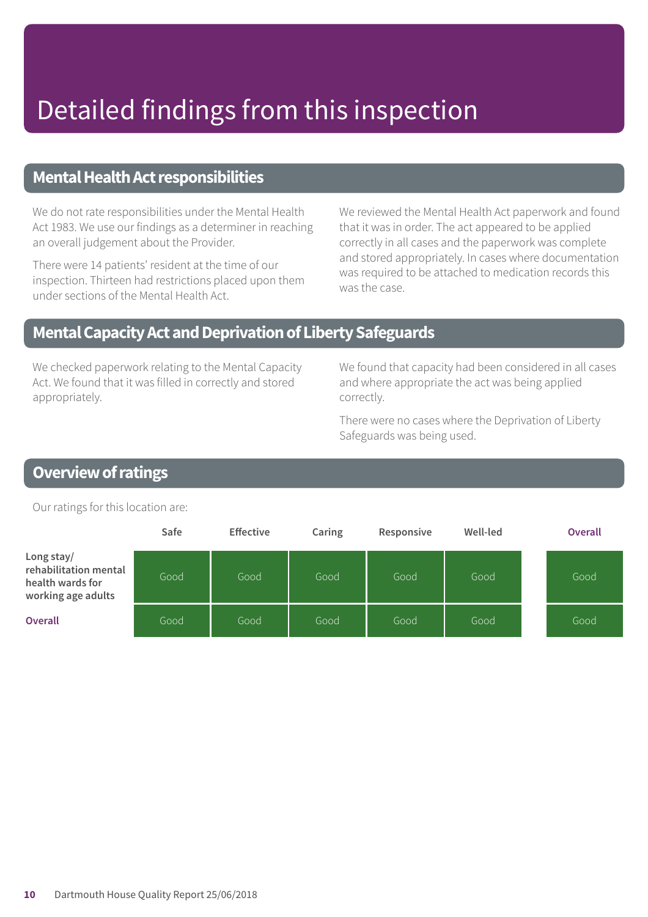# Detailed findings from this inspection

### **Mental Health Act responsibilities**

We do not rate responsibilities under the Mental Health Act 1983. We use our findings as a determiner in reaching an overall judgement about the Provider.

There were 14 patients' resident at the time of our inspection. Thirteen had restrictions placed upon them under sections of the Mental Health Act.

We reviewed the Mental Health Act paperwork and found that it was in order. The act appeared to be applied correctly in all cases and the paperwork was complete and stored appropriately. In cases where documentation was required to be attached to medication records this was the case.

### **MentalCapacityActandDeprivationofLibertySafeguards**

We checked paperwork relating to the Mental Capacity Act. We found that it was filled in correctly and stored appropriately.

We found that capacity had been considered in all cases and where appropriate the act was being applied correctly.

There were no cases where the Deprivation of Liberty Safeguards was being used.

# **Overview of ratings**

Our ratings for this location are:

|                                                                               | Safe | <b>Effective</b> | Caring | Responsive | Well-led | <b>Overall</b> |
|-------------------------------------------------------------------------------|------|------------------|--------|------------|----------|----------------|
| Long stay/<br>rehabilitation mental<br>health wards for<br>working age adults | Good | Good             | Good   | Good       | Good     | Good           |
| <b>Overall</b>                                                                | Good | Good             | Good   | Good       | Good     | Good           |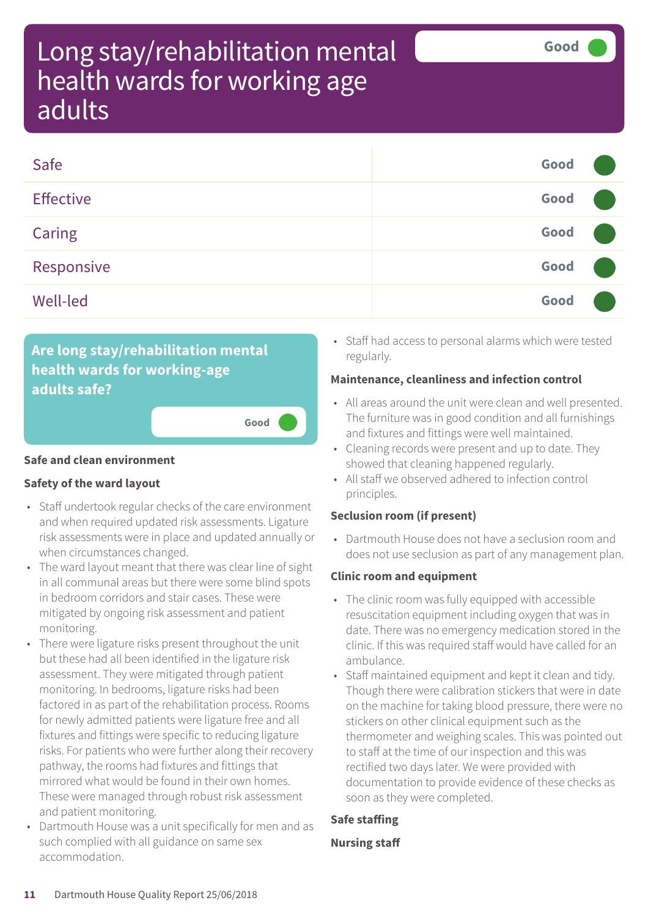| Safe             | Good |  |
|------------------|------|--|
| <b>Effective</b> | Good |  |
| Caring           | Good |  |
| Responsive       | Good |  |
| Well-led         | Good |  |

**Good –––**

# **Are long stay/rehabilitation mental health wards for working-age adults safe?**

#### **Safe and clean environment**

#### **Safety of the ward layout**

- Staff undertook regular checks of the care environment and when required updated risk assessments. Ligature risk assessments were in place and updated annually or when circumstances changed.
- The ward layout meant that there was clear line of sight in all communal areas but there were some blind spots in bedroom corridors and stair cases. These were mitigated by ongoing risk assessment and patient monitoring.
- There were ligature risks present throughout the unit but these had all been identified in the ligature risk assessment. They were mitigated through patient monitoring. In bedrooms, ligature risks had been factored in as part of the rehabilitation process. Rooms for newly admitted patients were ligature free and all fixtures and fittings were specific to reducing ligature risks. For patients who were further along their recovery pathway, the rooms had fixtures and fittings that mirrored what would be found in their own homes. These were managed through robust risk assessment and patient monitoring.
- Dartmouth House was a unit specifically for men and as such complied with all guidance on same sex accommodation.

• Staff had access to personal alarms which were tested regularly.

#### **Maintenance, cleanliness and infection control**

- All areas around the unit were clean and well presented. The furniture was in good condition and all furnishings and fixtures and fittings were well maintained.
- Cleaning records were present and up to date. They showed that cleaning happened regularly.
- All staff we observed adhered to infection control principles.

### **Seclusion room (if present)**

• Dartmouth House does not have a seclusion room and does not use seclusion as part of any management plan.

#### **Clinic room and equipment**

- The clinic room was fully equipped with accessible resuscitation equipment including oxygen that was in date. There was no emergency medication stored in the clinic. If this was required staff would have called for an ambulance.
- Staff maintained equipment and kept it clean and tidy. Though there were calibration stickers that were in date on the machine for taking blood pressure, there were no stickers on other clinical equipment such as the thermometer and weighing scales. This was pointed out to staff at the time of our inspection and this was rectified two days later. We were provided with documentation to provide evidence of these checks as soon as they were completed.

### **Safe staffing**

#### **Nursing staff**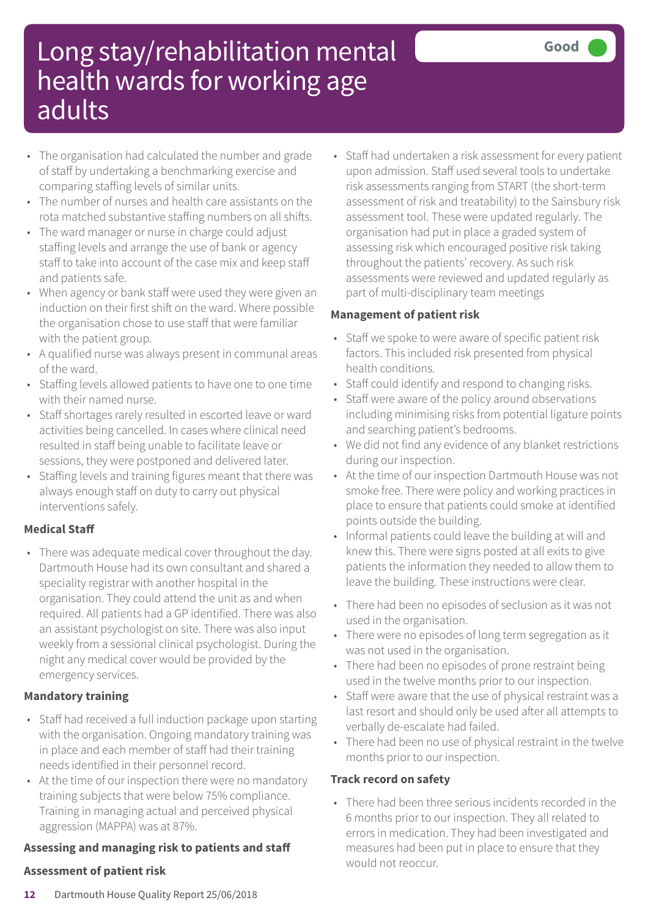- The organisation had calculated the number and grade of staff by undertaking a benchmarking exercise and comparing staffing levels of similar units.
- The number of nurses and health care assistants on the rota matched substantive staffing numbers on all shifts.
- The ward manager or nurse in charge could adjust staffing levels and arrange the use of bank or agency staff to take into account of the case mix and keep staff and patients safe.
- When agency or bank staff were used they were given an induction on their first shift on the ward. Where possible the organisation chose to use staff that were familiar with the patient group.
- A qualified nurse was always present in communal areas of the ward.
- Staffing levels allowed patients to have one to one time with their named nurse.
- Staff shortages rarely resulted in escorted leave or ward activities being cancelled. In cases where clinical need resulted in staff being unable to facilitate leave or sessions, they were postponed and delivered later.
- Staffing levels and training figures meant that there was always enough staff on duty to carry out physical interventions safely.

### **Medical Staff**

• There was adequate medical cover throughout the day. Dartmouth House had its own consultant and shared a speciality registrar with another hospital in the organisation. They could attend the unit as and when required. All patients had a GP identified. There was also an assistant psychologist on site. There was also input weekly from a sessional clinical psychologist. During the night any medical cover would be provided by the emergency services.

### **Mandatory training**

- Staff had received a full induction package upon starting with the organisation. Ongoing mandatory training was in place and each member of staff had their training needs identified in their personnel record.
- At the time of our inspection there were no mandatory training subjects that were below 75% compliance. Training in managing actual and perceived physical aggression (MAPPA) was at 87%.

### **Assessing and managing risk to patients and staff**

### **Assessment of patient risk**

• Staff had undertaken a risk assessment for every patient upon admission. Staff used several tools to undertake risk assessments ranging from START (the short-term assessment of risk and treatability) to the Sainsbury risk assessment tool. These were updated regularly. The organisation had put in place a graded system of assessing risk which encouraged positive risk taking throughout the patients' recovery. As such risk assessments were reviewed and updated regularly as part of multi-disciplinary team meetings

### **Management of patient risk**

- Staff we spoke to were aware of specific patient risk factors. This included risk presented from physical health conditions.
- Staff could identify and respond to changing risks.
- Staff were aware of the policy around observations including minimising risks from potential ligature points and searching patient's bedrooms.
- We did not find any evidence of any blanket restrictions during our inspection.
- At the time of our inspection Dartmouth House was not smoke free. There were policy and working practices in place to ensure that patients could smoke at identified points outside the building.
- Informal patients could leave the building at will and knew this. There were signs posted at all exits to give patients the information they needed to allow them to leave the building. These instructions were clear.
- There had been no episodes of seclusion as it was not used in the organisation.
- There were no episodes of long term segregation as it was not used in the organisation.
- There had been no episodes of prone restraint being used in the twelve months prior to our inspection.
- Staff were aware that the use of physical restraint was a last resort and should only be used after all attempts to verbally de-escalate had failed.
- There had been no use of physical restraint in the twelve months prior to our inspection.

### **Track record on safety**

• There had been three serious incidents recorded in the 6 months prior to our inspection. They all related to errors in medication. They had been investigated and measures had been put in place to ensure that they would not reoccur.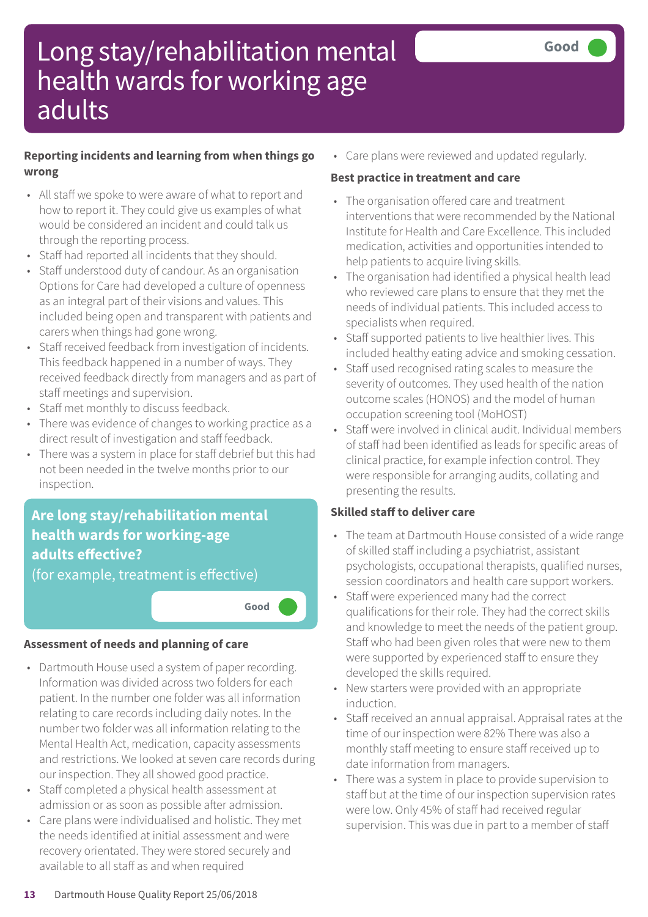### **Reporting incidents and learning from when things go wrong**

- All staff we spoke to were aware of what to report and how to report it. They could give us examples of what would be considered an incident and could talk us through the reporting process.
- Staff had reported all incidents that they should.
- Staff understood duty of candour. As an organisation Options for Care had developed a culture of openness as an integral part of their visions and values. This included being open and transparent with patients and carers when things had gone wrong.
- Staff received feedback from investigation of incidents. This feedback happened in a number of ways. They received feedback directly from managers and as part of staff meetings and supervision.
- Staff met monthly to discuss feedback.
- There was evidence of changes to working practice as a direct result of investigation and staff feedback.
- There was a system in place for staff debrief but this had not been needed in the twelve months prior to our inspection.

# **Are long stay/rehabilitation mental health wards for working-age adults effective?**

(for example, treatment is effective)

**Good –––**

### **Assessment of needs and planning of care**

- Dartmouth House used a system of paper recording. Information was divided across two folders for each patient. In the number one folder was all information relating to care records including daily notes. In the number two folder was all information relating to the Mental Health Act, medication, capacity assessments and restrictions. We looked at seven care records during our inspection. They all showed good practice.
- Staff completed a physical health assessment at admission or as soon as possible after admission.
- Care plans were individualised and holistic. They met the needs identified at initial assessment and were recovery orientated. They were stored securely and available to all staff as and when required

• Care plans were reviewed and updated regularly.

### **Best practice in treatment and care**

- The organisation offered care and treatment interventions that were recommended by the National Institute for Health and Care Excellence. This included medication, activities and opportunities intended to help patients to acquire living skills.
- The organisation had identified a physical health lead who reviewed care plans to ensure that they met the needs of individual patients. This included access to specialists when required.
- Staff supported patients to live healthier lives. This included healthy eating advice and smoking cessation.
- Staff used recognised rating scales to measure the severity of outcomes. They used health of the nation outcome scales (HONOS) and the model of human occupation screening tool (MoHOST)
- Staff were involved in clinical audit. Individual members of staff had been identified as leads for specific areas of clinical practice, for example infection control. They were responsible for arranging audits, collating and presenting the results.

### **Skilled staff to deliver care**

- The team at Dartmouth House consisted of a wide range of skilled staff including a psychiatrist, assistant psychologists, occupational therapists, qualified nurses, session coordinators and health care support workers.
- Staff were experienced many had the correct qualifications for their role. They had the correct skills and knowledge to meet the needs of the patient group. Staff who had been given roles that were new to them were supported by experienced staff to ensure they developed the skills required.
- New starters were provided with an appropriate induction.
- Staff received an annual appraisal. Appraisal rates at the time of our inspection were 82% There was also a monthly staff meeting to ensure staff received up to date information from managers.
- There was a system in place to provide supervision to staff but at the time of our inspection supervision rates were low. Only 45% of staff had received regular supervision. This was due in part to a member of staff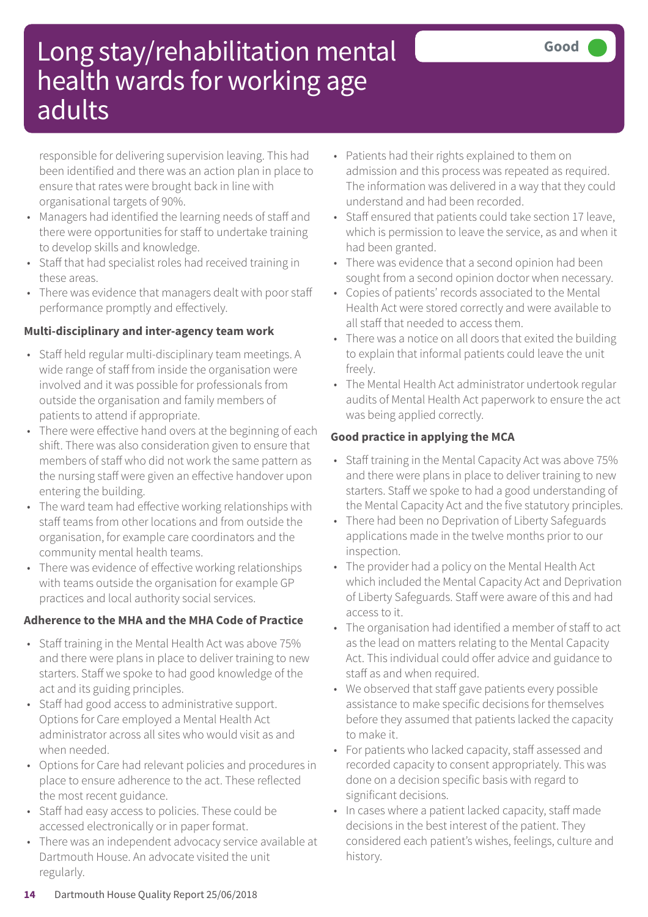responsible for delivering supervision leaving. This had been identified and there was an action plan in place to ensure that rates were brought back in line with organisational targets of 90%.

- Managers had identified the learning needs of staff and there were opportunities for staff to undertake training to develop skills and knowledge.
- Staff that had specialist roles had received training in these areas.
- There was evidence that managers dealt with poor staff performance promptly and effectively.

### **Multi-disciplinary and inter-agency team work**

- Staff held regular multi-disciplinary team meetings. A wide range of staff from inside the organisation were involved and it was possible for professionals from outside the organisation and family members of patients to attend if appropriate.
- There were effective hand overs at the beginning of each shift. There was also consideration given to ensure that members of staff who did not work the same pattern as the nursing staff were given an effective handover upon entering the building.
- The ward team had effective working relationships with staff teams from other locations and from outside the organisation, for example care coordinators and the community mental health teams.
- There was evidence of effective working relationships with teams outside the organisation for example GP practices and local authority social services.

### **Adherence to the MHA and the MHA Code of Practice**

- Staff training in the Mental Health Act was above 75% and there were plans in place to deliver training to new starters. Staff we spoke to had good knowledge of the act and its guiding principles.
- Staff had good access to administrative support. Options for Care employed a Mental Health Act administrator across all sites who would visit as and when needed.
- Options for Care had relevant policies and procedures in place to ensure adherence to the act. These reflected the most recent guidance.
- Staff had easy access to policies. These could be accessed electronically or in paper format.
- There was an independent advocacy service available at Dartmouth House. An advocate visited the unit regularly.
- Patients had their rights explained to them on admission and this process was repeated as required. The information was delivered in a way that they could understand and had been recorded.
- Staff ensured that patients could take section 17 leave, which is permission to leave the service, as and when it had been granted.
- There was evidence that a second opinion had been sought from a second opinion doctor when necessary.
- Copies of patients' records associated to the Mental Health Act were stored correctly and were available to all staff that needed to access them.
- There was a notice on all doors that exited the building to explain that informal patients could leave the unit freely.
- The Mental Health Act administrator undertook regular audits of Mental Health Act paperwork to ensure the act was being applied correctly.

### **Good practice in applying the MCA**

- Staff training in the Mental Capacity Act was above 75% and there were plans in place to deliver training to new starters. Staff we spoke to had a good understanding of the Mental Capacity Act and the five statutory principles.
- There had been no Deprivation of Liberty Safeguards applications made in the twelve months prior to our inspection.
- The provider had a policy on the Mental Health Act which included the Mental Capacity Act and Deprivation of Liberty Safeguards. Staff were aware of this and had access to it.
- The organisation had identified a member of staff to act as the lead on matters relating to the Mental Capacity Act. This individual could offer advice and guidance to staff as and when required.
- We observed that staff gave patients every possible assistance to make specific decisions for themselves before they assumed that patients lacked the capacity to make it.
- For patients who lacked capacity, staff assessed and recorded capacity to consent appropriately. This was done on a decision specific basis with regard to significant decisions.
- In cases where a patient lacked capacity, staff made decisions in the best interest of the patient. They considered each patient's wishes, feelings, culture and history.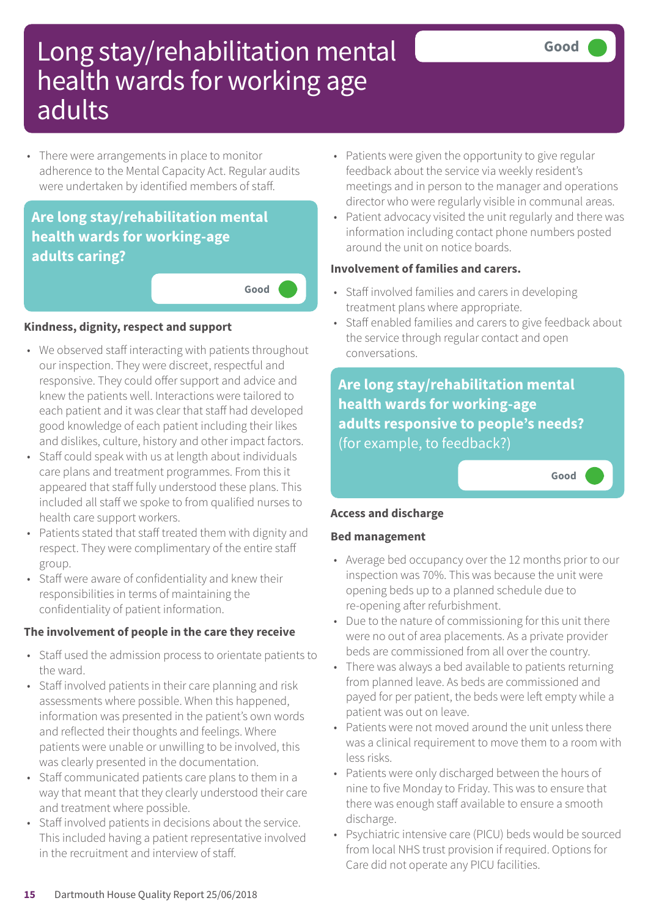• There were arrangements in place to monitor adherence to the Mental Capacity Act. Regular audits were undertaken by identified members of staff.

# **Are long stay/rehabilitation mental health wards for working-age adults caring?**

**Good –––**

#### **Kindness, dignity, respect and support**

- We observed staff interacting with patients throughout our inspection. They were discreet, respectful and responsive. They could offer support and advice and knew the patients well. Interactions were tailored to each patient and it was clear that staff had developed good knowledge of each patient including their likes and dislikes, culture, history and other impact factors.
- Staff could speak with us at length about individuals care plans and treatment programmes. From this it appeared that staff fully understood these plans. This included all staff we spoke to from qualified nurses to health care support workers.
- Patients stated that staff treated them with dignity and respect. They were complimentary of the entire staff group.
- Staff were aware of confidentiality and knew their responsibilities in terms of maintaining the confidentiality of patient information.

### **The involvement of people in the care they receive**

- Staff used the admission process to orientate patients to the ward.
- Staff involved patients in their care planning and risk assessments where possible. When this happened, information was presented in the patient's own words and reflected their thoughts and feelings. Where patients were unable or unwilling to be involved, this was clearly presented in the documentation.
- Staff communicated patients care plans to them in a way that meant that they clearly understood their care and treatment where possible.
- Staff involved patients in decisions about the service. This included having a patient representative involved in the recruitment and interview of staff.
- Patients were given the opportunity to give regular feedback about the service via weekly resident's meetings and in person to the manager and operations director who were regularly visible in communal areas.
- Patient advocacy visited the unit regularly and there was information including contact phone numbers posted around the unit on notice boards.

### **Involvement of families and carers.**

- Staff involved families and carers in developing treatment plans where appropriate.
- Staff enabled families and carers to give feedback about the service through regular contact and open conversations.

**Are long stay/rehabilitation mental health wards for working-age adults responsive to people's needs?** (for example, to feedback?)

**Good –––**

#### **Access and discharge**

#### **Bed management**

- Average bed occupancy over the 12 months prior to our inspection was 70%. This was because the unit were opening beds up to a planned schedule due to re-opening after refurbishment.
- Due to the nature of commissioning for this unit there were no out of area placements. As a private provider beds are commissioned from all over the country.
- There was always a bed available to patients returning from planned leave. As beds are commissioned and payed for per patient, the beds were left empty while a patient was out on leave.
- Patients were not moved around the unit unless there was a clinical requirement to move them to a room with less risks.
- Patients were only discharged between the hours of nine to five Monday to Friday. This was to ensure that there was enough staff available to ensure a smooth discharge.
- Psychiatric intensive care (PICU) beds would be sourced from local NHS trust provision if required. Options for Care did not operate any PICU facilities.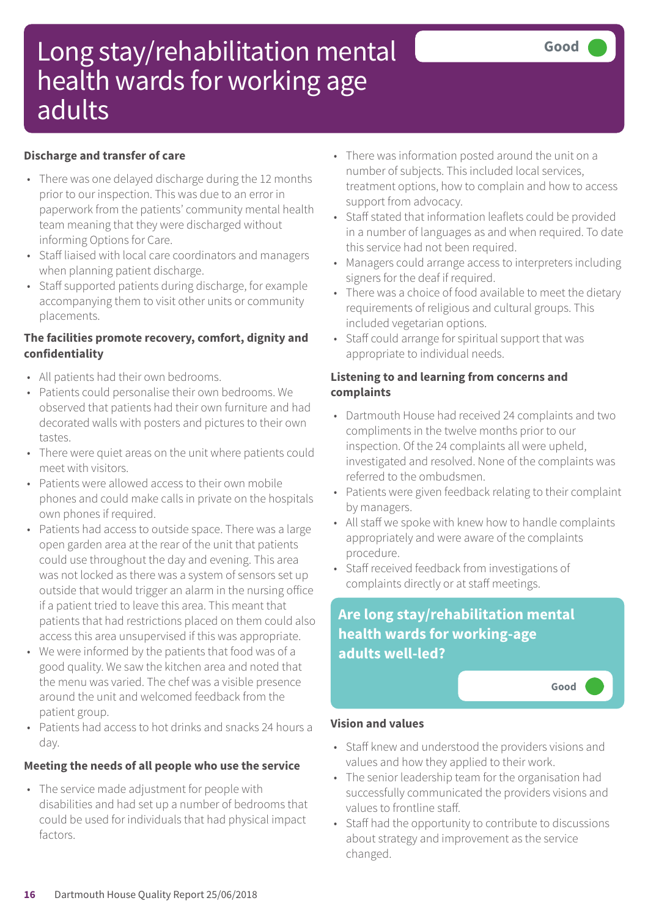### **Discharge and transfer of care**

- There was one delayed discharge during the 12 months prior to our inspection. This was due to an error in paperwork from the patients' community mental health team meaning that they were discharged without informing Options for Care.
- Staff liaised with local care coordinators and managers when planning patient discharge.
- Staff supported patients during discharge, for example accompanying them to visit other units or community placements.

### **The facilities promote recovery, comfort, dignity and confidentiality**

- All patients had their own bedrooms.
- Patients could personalise their own bedrooms. We observed that patients had their own furniture and had decorated walls with posters and pictures to their own tastes.
- There were quiet areas on the unit where patients could meet with visitors.
- Patients were allowed access to their own mobile phones and could make calls in private on the hospitals own phones if required.
- Patients had access to outside space. There was a large open garden area at the rear of the unit that patients could use throughout the day and evening. This area was not locked as there was a system of sensors set up outside that would trigger an alarm in the nursing office if a patient tried to leave this area. This meant that patients that had restrictions placed on them could also access this area unsupervised if this was appropriate.
- We were informed by the patients that food was of a good quality. We saw the kitchen area and noted that the menu was varied. The chef was a visible presence around the unit and welcomed feedback from the patient group.
- Patients had access to hot drinks and snacks 24 hours a day.

# **Meeting the needs of all people who use the service**

• The service made adjustment for people with disabilities and had set up a number of bedrooms that could be used for individuals that had physical impact factors.

- There was information posted around the unit on a number of subjects. This included local services, treatment options, how to complain and how to access support from advocacy.
- Staff stated that information leaflets could be provided in a number of languages as and when required. To date this service had not been required.
- Managers could arrange access to interpreters including signers for the deaf if required.
- There was a choice of food available to meet the dietary requirements of religious and cultural groups. This included vegetarian options.
- Staff could arrange for spiritual support that was appropriate to individual needs.

### **Listening to and learning from concerns and complaints**

- Dartmouth House had received 24 complaints and two compliments in the twelve months prior to our inspection. Of the 24 complaints all were upheld, investigated and resolved. None of the complaints was referred to the ombudsmen.
- Patients were given feedback relating to their complaint by managers.
- All staff we spoke with knew how to handle complaints appropriately and were aware of the complaints procedure.
- Staff received feedback from investigations of complaints directly or at staff meetings.

# **Are long stay/rehabilitation mental health wards for working-age adults well-led?**



### **Vision and values**

- Staff knew and understood the providers visions and values and how they applied to their work.
- The senior leadership team for the organisation had successfully communicated the providers visions and values to frontline staff.
- Staff had the opportunity to contribute to discussions about strategy and improvement as the service changed.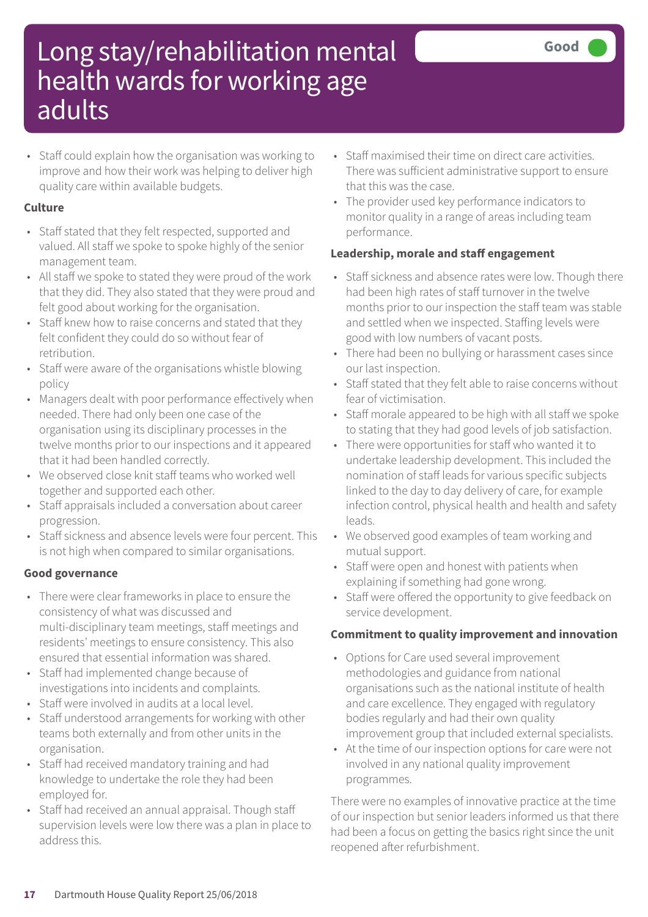• Staff could explain how the organisation was working to improve and how their work was helping to deliver high quality care within available budgets.

### **Culture**

- Staff stated that they felt respected, supported and valued. All staff we spoke to spoke highly of the senior management team.
- All staff we spoke to stated they were proud of the work that they did. They also stated that they were proud and felt good about working for the organisation.
- Staff knew how to raise concerns and stated that they felt confident they could do so without fear of retribution.
- Staff were aware of the organisations whistle blowing policy
- Managers dealt with poor performance effectively when needed. There had only been one case of the organisation using its disciplinary processes in the twelve months prior to our inspections and it appeared that it had been handled correctly.
- We observed close knit staff teams who worked well together and supported each other.
- Staff appraisals included a conversation about career progression.
- Staff sickness and absence levels were four percent. This is not high when compared to similar organisations.

### **Good governance**

- There were clear frameworks in place to ensure the consistency of what was discussed and multi-disciplinary team meetings, staff meetings and residents' meetings to ensure consistency. This also ensured that essential information was shared.
- Staff had implemented change because of investigations into incidents and complaints.
- Staff were involved in audits at a local level.
- Staff understood arrangements for working with other teams both externally and from other units in the organisation.
- Staff had received mandatory training and had knowledge to undertake the role they had been employed for.
- Staff had received an annual appraisal. Though staff supervision levels were low there was a plan in place to address this.
- Staff maximised their time on direct care activities. There was sufficient administrative support to ensure that this was the case.
- The provider used key performance indicators to monitor quality in a range of areas including team performance.

### **Leadership, morale and staff engagement**

- Staff sickness and absence rates were low. Though there had been high rates of staff turnover in the twelve months prior to our inspection the staff team was stable and settled when we inspected. Staffing levels were good with low numbers of vacant posts.
- There had been no bullying or harassment cases since our last inspection.
- Staff stated that they felt able to raise concerns without fear of victimisation.
- Staff morale appeared to be high with all staff we spoke to stating that they had good levels of job satisfaction.
- There were opportunities for staff who wanted it to undertake leadership development. This included the nomination of staff leads for various specific subjects linked to the day to day delivery of care, for example infection control, physical health and health and safety leads.
- We observed good examples of team working and mutual support.
- Staff were open and honest with patients when explaining if something had gone wrong.
- Staff were offered the opportunity to give feedback on service development.

# **Commitment to quality improvement and innovation**

- Options for Care used several improvement methodologies and guidance from national organisations such as the national institute of health and care excellence. They engaged with regulatory bodies regularly and had their own quality improvement group that included external specialists.
- At the time of our inspection options for care were not involved in any national quality improvement programmes.

There were no examples of innovative practice at the time of our inspection but senior leaders informed us that there had been a focus on getting the basics right since the unit reopened after refurbishment.